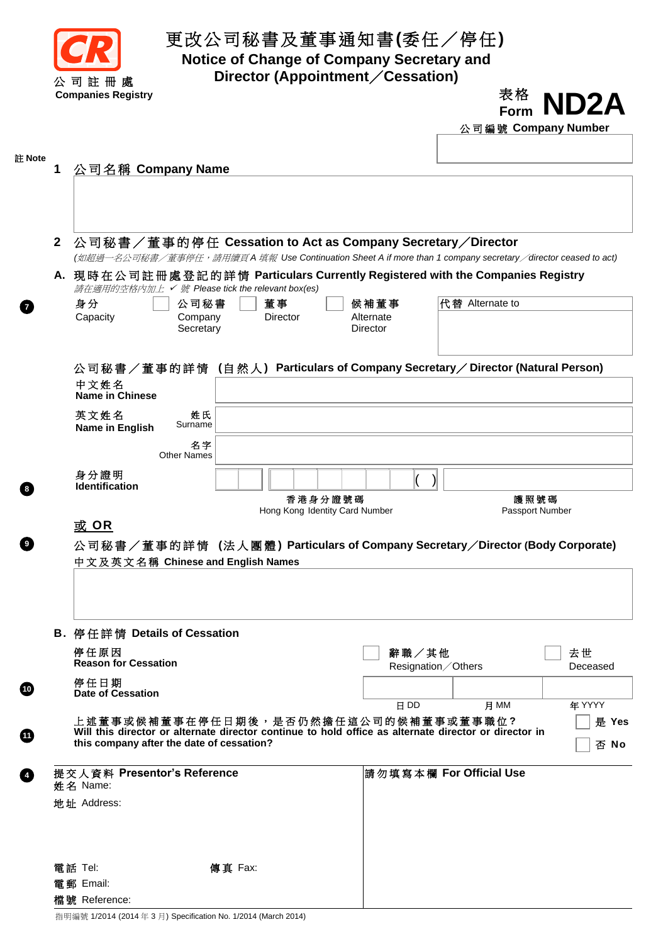|              | 公司註冊處<br><b>Companies Registry</b>                                                                 |                                                                                                                                                                                                             | 表格<br><b>ND2A</b><br>Form<br>公司編號 Company Number |
|--------------|----------------------------------------------------------------------------------------------------|-------------------------------------------------------------------------------------------------------------------------------------------------------------------------------------------------------------|--------------------------------------------------|
| 註 Note       | 公司名稱 Company Name                                                                                  |                                                                                                                                                                                                             |                                                  |
| $\mathbf{2}$ |                                                                                                    | 公司秘書/董事的停任 Cessation to Act as Company Secretary/Director                                                                                                                                                   |                                                  |
|              |                                                                                                    | (如超過一名公司秘書/董事停任,請用續頁 A 填報 Use Continuation Sheet A if more than 1 company secretary / director ceased to act)<br>A. 現時在公司註冊處登記的詳情 Particulars Currently Registered with the Companies Registry              |                                                  |
|              | 身分<br>Capacity                                                                                     | 請在適用的空格内加上 V 號 Please tick the relevant box(es)<br>公司秘書<br>董事<br>候補董事<br>Company<br>Director<br>Alternate<br>Secretary<br><b>Director</b>                                                                   | 代替 Alternate to                                  |
|              | 中文姓名<br>Name in Chinese<br>英文姓名<br>Name in English<br>身分證明<br><b>Identification</b><br><u>或 OR</u> | 姓氏<br>Surname<br>名字<br><b>Other Names</b><br>香港身分證號碼<br>Hong Kong Identity Card Number<br>公司秘書/董事的詳情 (法人團體) Particulars of Company Secretary/Director (Body Corporate)<br>中文及英文名稱 Chinese and English Names | 護 照 號 碼<br><b>Passport Number</b>                |
|              |                                                                                                    |                                                                                                                                                                                                             |                                                  |
|              | B. 停任詳情 Details of Cessation<br>停任原因<br><b>Reason for Cessation</b>                                | 辭職/其他                                                                                                                                                                                                       | 去世<br>Deceased<br>Resignation / Others           |
|              | 停任日期<br><b>Date of Cessation</b>                                                                   | 日 DD                                                                                                                                                                                                        | 月 MM<br>年 YYYY                                   |
|              |                                                                                                    | 上 述 董 事 或 候 補 董 事 在 停 任 日 期 後 , 是 否 仍 然 擔 任 這 公 司 的 候 補 董 事 或 董 事 職 位 ?                                                                                                                                     | 是 Yes                                            |
|              | this company after the date of cessation?                                                          | Will this director or alternate director continue to hold office as alternate director or director in                                                                                                       | 否 No                                             |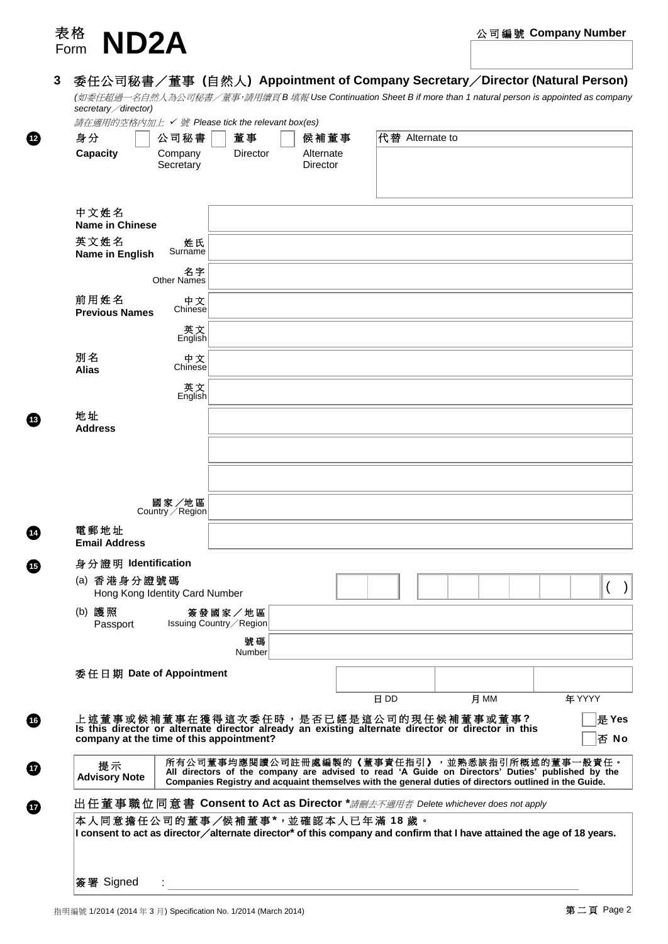

**12**

**13**

**14**

**15**

**12** 

**1** 

**16**

# **3** 委任公司秘書/董事 **(**自然人**) Appointment of Company Secretary**/**Director (Natural Person)**

*(*如委任超過一名自然人為公司秘書/董事,請用續頁 *B* 填報 *Use Continuation Sheet B if more than 1 natural person is appointed as company secretary*/*director)*

| 身分                                            | 公司秘書                     | 董事                                  | 候補董事                  | 代替 Alternate to |                                                                                                                                            |                                                                                                                                                                                                                                                            |
|-----------------------------------------------|--------------------------|-------------------------------------|-----------------------|-----------------|--------------------------------------------------------------------------------------------------------------------------------------------|------------------------------------------------------------------------------------------------------------------------------------------------------------------------------------------------------------------------------------------------------------|
| <b>Capacity</b>                               | Company<br>Secretary     | Director                            | Alternate<br>Director |                 |                                                                                                                                            |                                                                                                                                                                                                                                                            |
| 中文姓名<br><b>Name in Chinese</b>                |                          |                                     |                       |                 |                                                                                                                                            |                                                                                                                                                                                                                                                            |
| 英文姓名<br>Name in English                       | 姓氏<br>Surname            |                                     |                       |                 |                                                                                                                                            |                                                                                                                                                                                                                                                            |
|                                               | 名字<br><b>Other Names</b> |                                     |                       |                 |                                                                                                                                            |                                                                                                                                                                                                                                                            |
| 前用姓名<br><b>Previous Names</b>                 | 中文<br>Chinese            |                                     |                       |                 |                                                                                                                                            |                                                                                                                                                                                                                                                            |
|                                               | 英文<br>English            |                                     |                       |                 |                                                                                                                                            |                                                                                                                                                                                                                                                            |
| 別名<br><b>Alias</b>                            | 中文<br>Chinese            |                                     |                       |                 |                                                                                                                                            |                                                                                                                                                                                                                                                            |
|                                               | _<br>英文<br>English       |                                     |                       |                 |                                                                                                                                            |                                                                                                                                                                                                                                                            |
| 地址<br><b>Address</b>                          |                          |                                     |                       |                 |                                                                                                                                            |                                                                                                                                                                                                                                                            |
|                                               |                          |                                     |                       |                 |                                                                                                                                            |                                                                                                                                                                                                                                                            |
|                                               |                          |                                     |                       |                 |                                                                                                                                            |                                                                                                                                                                                                                                                            |
|                                               | 國家/地區<br>Country/Region  |                                     |                       |                 |                                                                                                                                            |                                                                                                                                                                                                                                                            |
| 電郵地址<br><b>Email Address</b>                  |                          |                                     |                       |                 |                                                                                                                                            |                                                                                                                                                                                                                                                            |
| 身分證明 Identification                           |                          |                                     |                       |                 |                                                                                                                                            |                                                                                                                                                                                                                                                            |
| (a) 香港身分證號碼<br>Hong Kong Identity Card Number |                          |                                     |                       |                 |                                                                                                                                            |                                                                                                                                                                                                                                                            |
| (b) 護照<br>Passport                            |                          | 簽發國家/地區<br>Issuing Country / Region |                       |                 |                                                                                                                                            |                                                                                                                                                                                                                                                            |
|                                               |                          | 號碼<br>Number                        |                       |                 |                                                                                                                                            |                                                                                                                                                                                                                                                            |
| 委任日期 Date of Appointment                      |                          |                                     |                       |                 |                                                                                                                                            |                                                                                                                                                                                                                                                            |
|                                               |                          |                                     |                       | 日 DD            | 月 MM                                                                                                                                       | 年 YYYY                                                                                                                                                                                                                                                     |
| company at the time of this appointment?      |                          |                                     |                       |                 | 上述董事或候補董事在獲得這次委任時,是否已經是這公司的現任候補董事或董事?<br>Is this director or alternate director already an existing alternate director or director in this | 是 Yes<br>否 No                                                                                                                                                                                                                                              |
| 提示<br><b>Advisory Note</b>                    |                          |                                     |                       |                 |                                                                                                                                            | 所有公司董事均應閱讀公司註冊處編製的《董事責任指引》,並熟悉該指引所概述的董事一般責任。<br>All directors of the company are advised to read 'A Guide on Directors' Duties' published by the<br>Companies Registry and acquaint themselves with the general duties of directors outlined in the Guide. |
|                                               |                          |                                     |                       |                 |                                                                                                                                            |                                                                                                                                                                                                                                                            |
| 本人同意擔任公司的董事/候補董事*,並確認本人已年滿18歲。                |                          |                                     |                       |                 |                                                                                                                                            |                                                                                                                                                                                                                                                            |
|                                               |                          |                                     |                       |                 |                                                                                                                                            | I consent to act as director / alternate director* of this company and confirm that I have attained the age of 18 years.                                                                                                                                   |
|                                               |                          |                                     |                       |                 |                                                                                                                                            |                                                                                                                                                                                                                                                            |
|                                               |                          |                                     |                       |                 |                                                                                                                                            |                                                                                                                                                                                                                                                            |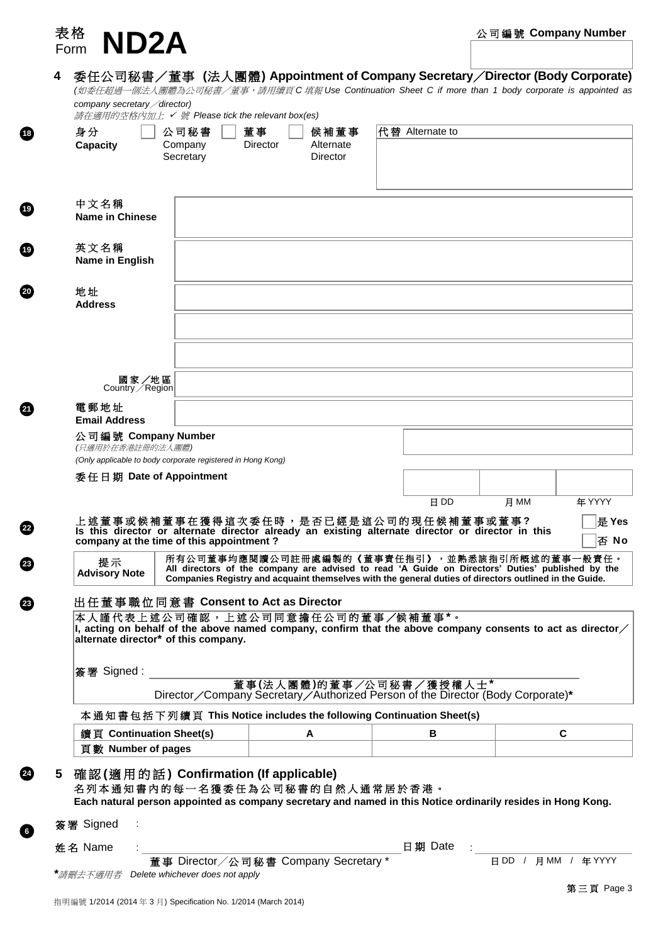|   | 表格<br><b>ND2A</b><br>Form      |                                                                                 |                                                                                                                                                                                                                                                            |                 | 公司編號 Company Number |               |
|---|--------------------------------|---------------------------------------------------------------------------------|------------------------------------------------------------------------------------------------------------------------------------------------------------------------------------------------------------------------------------------------------------|-----------------|---------------------|---------------|
| 4 | company secretary / director)  |                                                                                 | 委任公司秘書/董事 (法人團體) Appointment of Company Secretary/Director (Body Corporate)<br>(如委任超過一個法人團體為公司秘書/董事,請用續頁 C 填報 Use Continuation Sheet C if more than 1 body corporate is appointed as                                                                       |                 |                     |               |
|   | 身分<br>Capacity                 | 請在適用的空格内加上 V 號 Please tick the relevant box(es)<br>公司秘書<br>Company<br>Secretary | 董事<br>候補董事<br>Director<br>Alternate<br>Director                                                                                                                                                                                                            | 代替 Alternate to |                     |               |
|   | 中文名稱<br><b>Name in Chinese</b> |                                                                                 |                                                                                                                                                                                                                                                            |                 |                     |               |
|   | 英文名稱<br>Name in English        |                                                                                 |                                                                                                                                                                                                                                                            |                 |                     |               |
|   | 地址<br><b>Address</b>           |                                                                                 |                                                                                                                                                                                                                                                            |                 |                     |               |
|   | 國家/地區                          |                                                                                 |                                                                                                                                                                                                                                                            |                 |                     |               |
|   | Country / Region               |                                                                                 |                                                                                                                                                                                                                                                            |                 |                     |               |
|   | 電郵地址<br><b>Email Address</b>   |                                                                                 |                                                                                                                                                                                                                                                            |                 |                     |               |
|   | 公司編號 Company Number            |                                                                                 |                                                                                                                                                                                                                                                            |                 |                     |               |
|   | (只適用於在香港註冊的法人團體)               | (Only applicable to body corporate registered in Hong Kong)                     |                                                                                                                                                                                                                                                            |                 |                     |               |
|   | 委任日期 Date of Appointment       |                                                                                 |                                                                                                                                                                                                                                                            |                 |                     |               |
|   |                                |                                                                                 |                                                                                                                                                                                                                                                            | 日 DD            | 月 MM                | 年 YYYY        |
|   |                                | company at the time of this appointment?                                        | 上述董事或候補董事在獲得這次委任時,是否已經是這公司的現任候補董事或董事?<br>Is this director or alternate director already an existing alternate director or director in this                                                                                                                 |                 |                     | 是 Yes<br>否 No |
|   | 提示<br><b>Advisory Note</b>     |                                                                                 | 所有公司董事均應閱讀公司註冊處編製的《董事責任指引》,並熟悉該指引所概述的董事一般責任。<br>All directors of the company are advised to read 'A Guide on Directors' Duties' published by the<br>Companies Registry and acquaint themselves with the general duties of directors outlined in the Guide. |                 |                     |               |
|   | 簽署 Signed:                     | alternate director* of this company.                                            | 出任董事職位同意書 Consent to Act as Director<br>本人謹代表上述公司確認,上述公司同意擔任公司的董事/候補董事*。<br>I, acting on behalf of the above named company, confirm that the above company consents to act as director/                                                                    |                 |                     |               |
|   |                                |                                                                                 | 董事(法人團體)的董事/公司秘書/獲授權人士*<br>Director / Company Secretary / Authorized Person of the Director (Body Corporate)*                                                                                                                                              |                 |                     |               |
|   |                                |                                                                                 | 本通知書包括下列續頁 This Notice includes the following Continuation Sheet(s)                                                                                                                                                                                        |                 |                     |               |
|   | 續頁 Continuation Sheet(s)       |                                                                                 | A                                                                                                                                                                                                                                                          | B               |                     | C             |
| 5 | 頁 數 Number of pages            | 確認(適用的話) Confirmation (If applicable)                                           | 名列本通知書內的每一名獲委任為公司秘書的自然人通常居於香港。<br>Each natural person appointed as company secretary and named in this Notice ordinarily resides in Hong Kong.                                                                                                             |                 |                     |               |
|   | 簽署 Signed                      |                                                                                 |                                                                                                                                                                                                                                                            |                 |                     |               |
|   | 姓名 Name                        |                                                                                 | 董事 Director / 公司秘書 Company Secretary *                                                                                                                                                                                                                     | 日期 Date         | 日DD / 月MM / 年YYYY   |               |
|   |                                | *請删去不適用者 Delete whichever does not apply                                        |                                                                                                                                                                                                                                                            |                 |                     |               |

**19**

**18**

**19**

**20**

**21**

**22**

**23**

**23**

**24**

**6**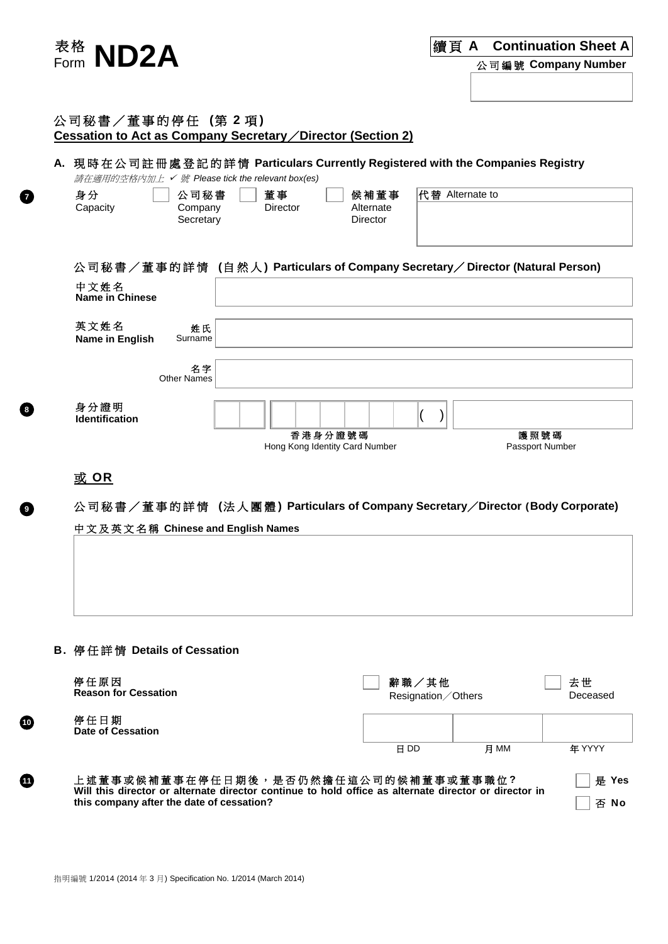|                               |                              | 請在適用的空格内加上 V 號 Please tick the relevant box(es) | Cessation to Act as Company Secretary / Director (Section 2) |                 | A. 現時在公司註冊處登記的詳情 Particulars Currently Registered with the Companies Registry |
|-------------------------------|------------------------------|-------------------------------------------------|--------------------------------------------------------------|-----------------|-------------------------------------------------------------------------------|
| 身分<br>Capacity                | 公司秘書<br>Company<br>Secretary | 董事<br><b>Director</b>                           | 候補董事<br>Alternate<br><b>Director</b>                         | 代替 Alternate to |                                                                               |
|                               |                              |                                                 |                                                              |                 | 公司秘書/董事的詳情 (自然人) Particulars of Company Secretary/Director (Natural Person)   |
| 中文姓名<br>Name in Chinese       |                              |                                                 |                                                              |                 |                                                                               |
| 英文姓名<br>Name in English       | 姓氏<br>Surname                |                                                 |                                                              |                 |                                                                               |
|                               | 名字<br><b>Other Names</b>     |                                                 |                                                              |                 |                                                                               |
| 身分證明<br><b>Identification</b> |                              |                                                 | 香港身分證號碼<br>Hong Kong Identity Card Number                    |                 | 護照號碼<br>Passport Number                                                       |
|                               |                              |                                                 |                                                              |                 |                                                                               |

**B.** 停 任詳情 **Details of Cessation**

**9**

**8**

**7**

**11**

**10**

| 停任原因<br><b>Reason for Cessation</b>                                                                                                                                                        | 辭職/其他<br>Resignation / Others |      | 去世<br>Deceased |  |  |  |
|--------------------------------------------------------------------------------------------------------------------------------------------------------------------------------------------|-------------------------------|------|----------------|--|--|--|
| 停任日期<br><b>Date of Cessation</b>                                                                                                                                                           | <b>H</b> DD                   | 月 MM | 年 YYYY         |  |  |  |
| 上述董事或候補董事在停任日期後,是否仍然擔任這公司的候補董事或董事職位?<br>Will this director or alternate director continue to hold office as alternate director or director in<br>this company after the date of cessation? |                               |      |                |  |  |  |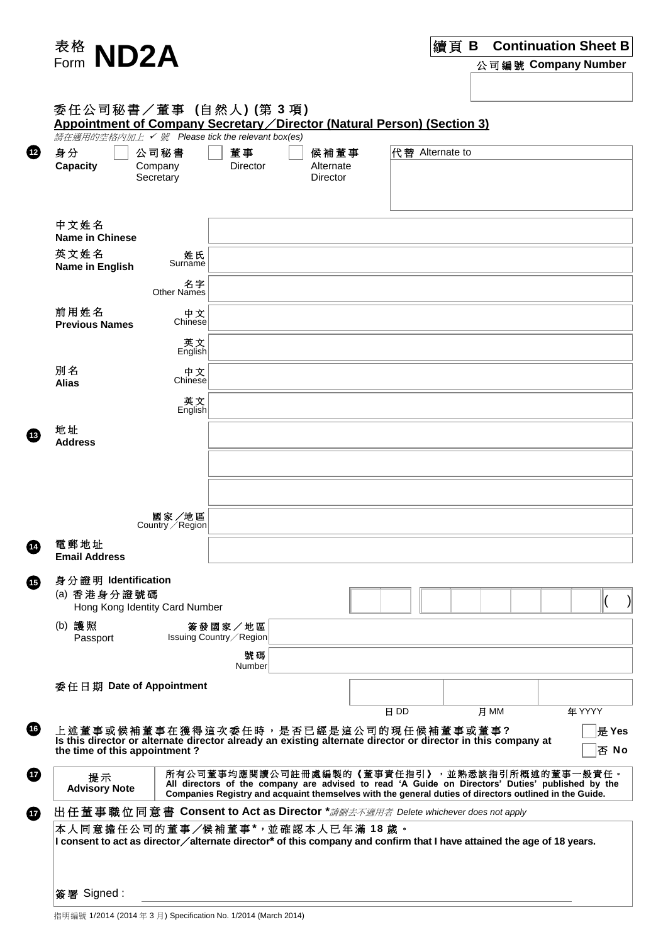

公司編號 **Company Number**

| 身分<br><b>Capacity</b>                                                                                                                                                                  | 公司秘書<br>Company<br>Secretary   | 董事<br><b>Director</b>                     | Alternate<br><b>Director</b>                                                                                                                                                                                                                               | 候補董事 |      | 代替 Alternate to |      |  |                         |
|----------------------------------------------------------------------------------------------------------------------------------------------------------------------------------------|--------------------------------|-------------------------------------------|------------------------------------------------------------------------------------------------------------------------------------------------------------------------------------------------------------------------------------------------------------|------|------|-----------------|------|--|-------------------------|
| 中文姓名<br><b>Name in Chinese</b>                                                                                                                                                         |                                |                                           |                                                                                                                                                                                                                                                            |      |      |                 |      |  |                         |
| 英文姓名<br>Name in English                                                                                                                                                                | 姓氏<br>Surname                  |                                           |                                                                                                                                                                                                                                                            |      |      |                 |      |  |                         |
|                                                                                                                                                                                        | 名字<br><b>Other Names</b>       |                                           |                                                                                                                                                                                                                                                            |      |      |                 |      |  |                         |
| 前用姓名<br><b>Previous Names</b>                                                                                                                                                          | 中文<br>Chinese                  |                                           |                                                                                                                                                                                                                                                            |      |      |                 |      |  |                         |
|                                                                                                                                                                                        | 英文<br>English                  |                                           |                                                                                                                                                                                                                                                            |      |      |                 |      |  |                         |
| 別名<br><b>Alias</b>                                                                                                                                                                     | 中文<br>Chinese                  |                                           |                                                                                                                                                                                                                                                            |      |      |                 |      |  |                         |
|                                                                                                                                                                                        | 英文<br>English                  |                                           |                                                                                                                                                                                                                                                            |      |      |                 |      |  |                         |
| 地址<br><b>Address</b>                                                                                                                                                                   |                                |                                           |                                                                                                                                                                                                                                                            |      |      |                 |      |  |                         |
| 電郵地址                                                                                                                                                                                   | 國家/地區<br> Country/Region       |                                           |                                                                                                                                                                                                                                                            |      |      |                 |      |  |                         |
| <b>Email Address</b><br>身分證明 Identification<br>(a) 香港身分證號碼                                                                                                                             | Hong Kong Identity Card Number |                                           |                                                                                                                                                                                                                                                            |      |      |                 |      |  | $\mathcal{L}$           |
| (b) 護照<br>Passport                                                                                                                                                                     |                                | 簽發國家/地區<br>Issuing Country / Region<br>號碼 |                                                                                                                                                                                                                                                            |      |      |                 |      |  |                         |
| 委任日期 Date of Appointment                                                                                                                                                               |                                | Number                                    |                                                                                                                                                                                                                                                            |      |      |                 |      |  |                         |
| 上述董事或候補董事在獲得這次委任時,是否已經是這公司的現任候補董事或董事?<br>Is this director or alternate director already an existing alternate director or director in this company at<br>the time of this appointment? |                                |                                           |                                                                                                                                                                                                                                                            |      | 日 DD |                 | 月 MM |  | 年 YYYY<br>是 Yes<br>否 No |
| 提示<br><b>Advisory Note</b>                                                                                                                                                             |                                |                                           | 所有公司董事均應閱讀公司註冊處編製的《董事責任指引》,並熟悉該指引所概述的董事一般責任。<br>All directors of the company are advised to read 'A Guide on Directors' Duties' published by the<br>Companies Registry and acquaint themselves with the general duties of directors outlined in the Guide. |      |      |                 |      |  |                         |
|                                                                                                                                                                                        |                                |                                           |                                                                                                                                                                                                                                                            |      |      |                 |      |  |                         |
| 本人同意擔任公司的董事/候補董事*,並確認本人已年滿18歲。<br>I consent to act as director / alternate director* of this company and confirm that I have attained the age of 18 years.                             |                                |                                           |                                                                                                                                                                                                                                                            |      |      |                 |      |  |                         |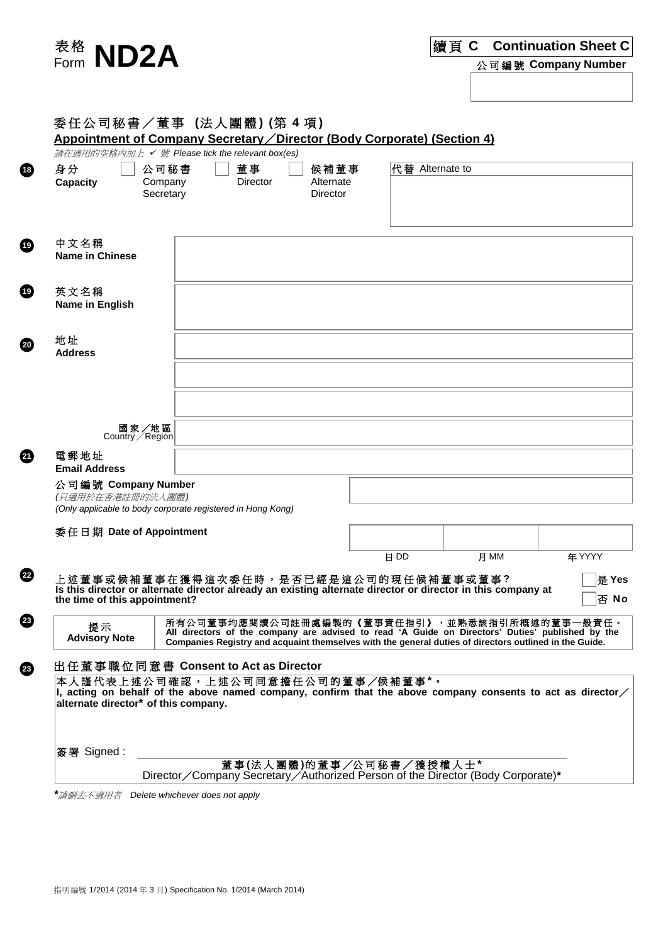| $R_{\text{Form}}^*$ ND2A                                                                                                                                                                        |                      |          |                              |                 | 續頁C                                                                                                                                                                                                                                                        | <b>Continuation Sheet C</b> |
|-------------------------------------------------------------------------------------------------------------------------------------------------------------------------------------------------|----------------------|----------|------------------------------|-----------------|------------------------------------------------------------------------------------------------------------------------------------------------------------------------------------------------------------------------------------------------------------|-----------------------------|
|                                                                                                                                                                                                 |                      |          |                              |                 |                                                                                                                                                                                                                                                            | 公司編號 Company Number         |
|                                                                                                                                                                                                 |                      |          |                              |                 |                                                                                                                                                                                                                                                            |                             |
| 委任公司秘書/董事(法人團體) (第4項)                                                                                                                                                                           |                      |          |                              |                 |                                                                                                                                                                                                                                                            |                             |
| Appointment of Company Secretary / Director (Body Corporate) (Section 4)<br>請在適用的空格内加上 V 號 Please tick the relevant box(es)                                                                     |                      |          |                              |                 |                                                                                                                                                                                                                                                            |                             |
| 身分                                                                                                                                                                                              | 公司秘書                 | 董事       | 候補董事                         | 代替 Alternate to |                                                                                                                                                                                                                                                            |                             |
| Capacity                                                                                                                                                                                        | Company<br>Secretary | Director | Alternate<br><b>Director</b> |                 |                                                                                                                                                                                                                                                            |                             |
|                                                                                                                                                                                                 |                      |          |                              |                 |                                                                                                                                                                                                                                                            |                             |
| 中文名稱<br>Name in Chinese                                                                                                                                                                         |                      |          |                              |                 |                                                                                                                                                                                                                                                            |                             |
|                                                                                                                                                                                                 |                      |          |                              |                 |                                                                                                                                                                                                                                                            |                             |
| 英文名稱<br>Name in English                                                                                                                                                                         |                      |          |                              |                 |                                                                                                                                                                                                                                                            |                             |
| 地址<br><b>Address</b>                                                                                                                                                                            |                      |          |                              |                 |                                                                                                                                                                                                                                                            |                             |
|                                                                                                                                                                                                 |                      |          |                              |                 |                                                                                                                                                                                                                                                            |                             |
|                                                                                                                                                                                                 |                      |          |                              |                 |                                                                                                                                                                                                                                                            |                             |
|                                                                                                                                                                                                 |                      |          |                              |                 |                                                                                                                                                                                                                                                            |                             |
| 國家/地區<br>Country/Region                                                                                                                                                                         |                      |          |                              |                 |                                                                                                                                                                                                                                                            |                             |
| 電郵地址<br><b>Email Address</b>                                                                                                                                                                    |                      |          |                              |                 |                                                                                                                                                                                                                                                            |                             |
| 公司編號 Company Number<br>(只摘用於在香港詳冊的法人團體)                                                                                                                                                         |                      |          |                              |                 |                                                                                                                                                                                                                                                            |                             |
| (Only applicable to body corporate registered in Hong Kong)                                                                                                                                     |                      |          |                              |                 |                                                                                                                                                                                                                                                            |                             |
| 委任日期 Date of Appointment                                                                                                                                                                        |                      |          |                              |                 |                                                                                                                                                                                                                                                            |                             |
|                                                                                                                                                                                                 |                      |          |                              | <b>H</b> DD     | 月 MM                                                                                                                                                                                                                                                       | 年 YYYY                      |
| 上 述 董 事 或 候 補 董 事 在 獲 得 這 次 委 任 時 , 是 否 已 經 是 這 公 司 的 現 任 候 補 董 事 或 董 事 ?                                                                                                                       |                      |          |                              |                 |                                                                                                                                                                                                                                                            | 是 Yes                       |
| Is this director or alternate director already an existing alternate director or director in this company at<br>the time of this appointment?                                                   |                      |          |                              |                 |                                                                                                                                                                                                                                                            | 否 No                        |
| 提示<br><b>Advisory Note</b>                                                                                                                                                                      |                      |          |                              |                 | 所有公司董事均應閱讀公司註冊處編製的《董事責任指引》,並熟悉該指引所概述的董事一般責任。<br>All directors of the company are advised to read 'A Guide on Directors' Duties' published by the<br>Companies Registry and acquaint themselves with the general duties of directors outlined in the Guide. |                             |
| 出任董事職位同意書 Consent to Act as Director                                                                                                                                                            |                      |          |                              |                 |                                                                                                                                                                                                                                                            |                             |
| 本人謹代表上述公司確認,上述公司同意擔任公司的董事/候補董事*。<br>I, acting on behalf of the above named company, confirm that the above company consents to act as director $\angle$<br>alternate director* of this company. |                      |          |                              |                 |                                                                                                                                                                                                                                                            |                             |
|                                                                                                                                                                                                 |                      |          |                              |                 |                                                                                                                                                                                                                                                            |                             |
| 簽署 Signed:                                                                                                                                                                                      |                      |          | 董事(法人團體)的董事/公司秘書/獲授權人士*      |                 |                                                                                                                                                                                                                                                            |                             |
|                                                                                                                                                                                                 |                      |          |                              |                 | Director / Company Secretary / Authorized Person of the Director (Body Corporate)*                                                                                                                                                                         |                             |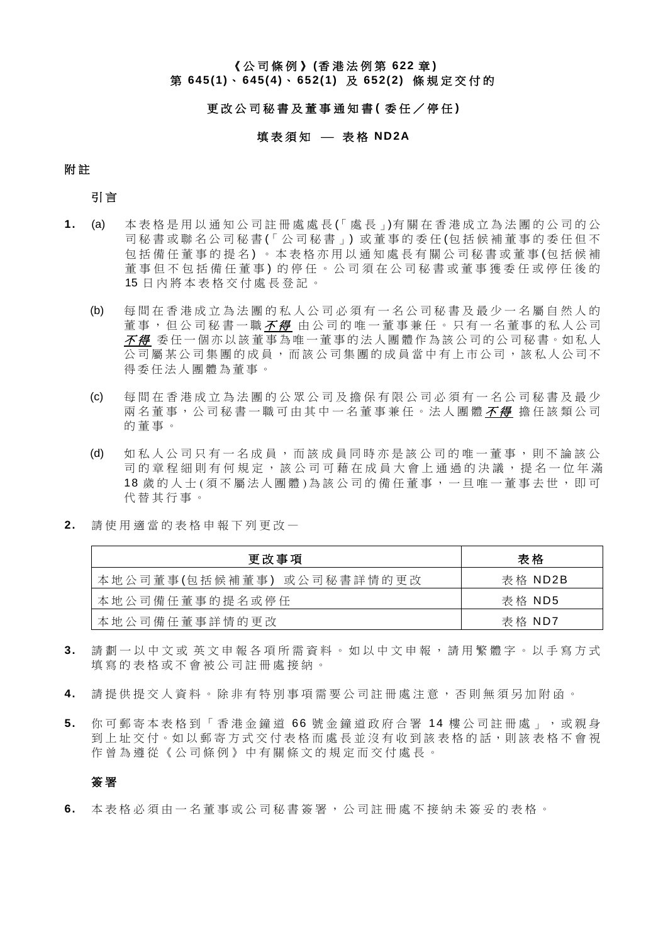# 《 公司條例 》 **(**香港法例第 **622** 章 **)** 第 **645(1)**、 **645(4)**、 **652(1)** 及 **652(2)** 條規定 交 付 的

## 更 改 公 司 秘書及董事通知書 **(** 委任/停任 **)**

#### 填表須知 – 表格 ND2A

## 附 註

## 引 言

- **1.** (a) 本表格是用以通知公司註冊處處長 (「處長 」)有關在香港成立為法團的公司的 公 司 秘書或聯名 公 司 秘 書 (「 公 司 秘書」) 或董事的委任 (包括候補董事的委任但不 包 括 備 任 董 事 的 提 名 ) 。本表格亦用以通知處長有關 公 司 秘書或 董 事 (包括候補 董事但不包括備任董事) 的停任。公司須在公司秘書或董事獲委任或停任後的 15 日 內 將本表格 交 付處長登記 。
	- (b) 每間在香港成立為法團的私人公司必須有一名公司秘書及最少一名屬自然人的 董事,但公司秘書一職不得由公司的唯一董事兼任。只有一名董事的私人公司 不得 委任一個亦以該董事為唯一董事的法人團體作為該公司的公司秘書。如私人 公司屬某公司集團的成員,而該公司集團的成員當中有上市公司,該私人公司不 得 委任法人團體為董事。
	- (c) 每間在香港成立為法團的公眾公司及擔保有限公司必須有一名公司秘書及最少 兩名董事, 公司秘書一職可由其中一名董事兼任。法人團體 不得 擔任該類公司 的董事。
	- (d) 如私人公司只有一名成員 , 而該成員 同時亦 是 該 公司的唯一董事,則不論該公 司的章程細則有何規定, 該公司可藉在成員大會上通過的決議, 提名一位年滿 18 歲的人士(須不屬法人團體)為該公司的備任董事,一旦唯一董事去世,即可 代 替 其行事 。
- **2.** 請使用適當的表格申報下列更改 —

| 更改事項                      | 表格      |
|---------------------------|---------|
| 本地公司董事(包括候補董事) 或公司秘書詳情的更改 | 表格 ND2B |
| 本地公司備任董事的提名或停任            | 表 格 ND5 |
| 本地公司備任董事詳情的更改             | 表格 ND7  |

- 3. 請劃一以中文或英文申報各項所需資料。如以中文申報,請用繁體字。以手寫方式 填寫的表格或不會被公司註冊處接納。
- **4.** 請提供提交人資料。除非有特別事項需要公司註冊處注意,否則無 須 另加附函。
- **5.** 你可郵寄 本表格到 「香港金鐘道 66 號金鐘道政府合署 14 樓公司註冊處」, 或 親 身 到上址 交付。如以 郵 寄 方 式 交 付 表 格 而 處 長 並 沒 有 收 到 該 表 格 的 話, 則 該 表 格 不 會 視 作曾為遵從《公司條例》中有關條文的規定而交付處長。

#### 簽 署

**6.** 本表格必須由一名董事或 公 司 秘書簽署,公司註冊處不接納未簽妥的表格。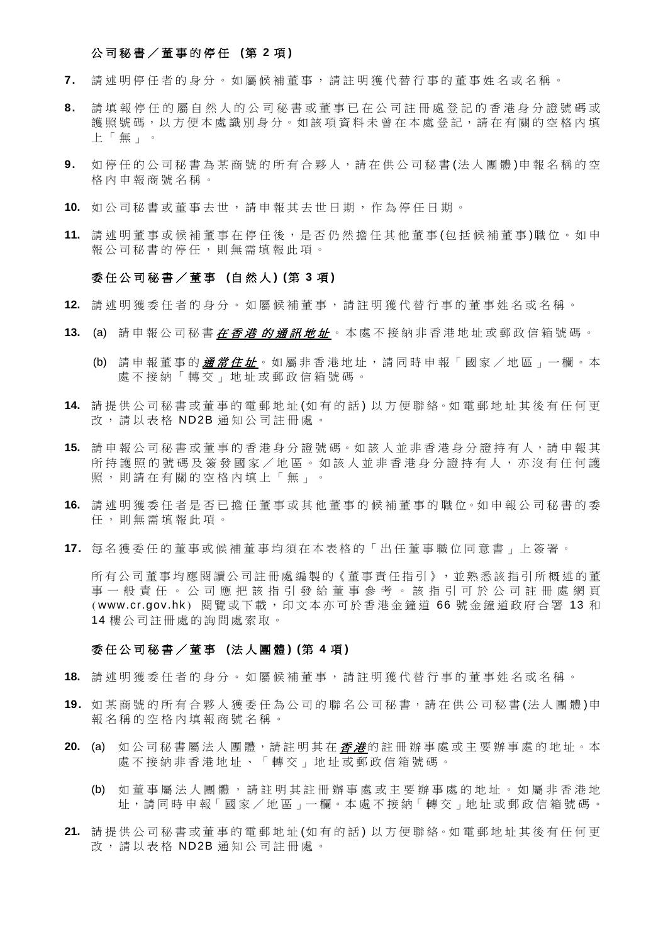## 公 司 秘書/董事的停任 **(**第 **2** 項 **)**

- **7.** 請述明停任者的身 分 。 如屬候補董事,請註明獲代替行事的董事姓名或名稱 。
- **8.** 請 填 報停任的屬自然人的 公 司 秘書或董事已在公司註冊處登記的香港身分證號碼或 護 照 號 碼, 以 方 便 本 處 識 別 身 分 。 如 該 項 資 料 未 曾 在 本 處 登 記 , 請 在 有 關 的 空 格 内 埴 上「無」。
- 9. 如停任的公司秘書為某商號的所有合夥人,請在供公司秘書(法人團體)申報名稱的空 格內申報商號名稱。
- **10.** 如 公 司 秘書或董事去世,請申報其去世日期,作為停任日期。
- 11. 請述明董事或候補董事在停任後,是否仍然擔任其他董事(包括候補董事)職位。如申 報公司秘書的停任,則無需填報此項。

#### 委 任 公 司 秘書/董事 **(**自然人 **) (**第 **3** 項 **)**

- **12.** 請述明獲委任者的身 分 。 如屬候補董事,請註明獲代替行事的董事姓名或名稱 。
- 13. (a) 請申報公司秘書*在香港 的通訊地址*。本處不接納非香港地址或郵政信箱號碼。
	- (b) 請申報董事的*通常住址*。如屬非香港地址,請同時申報「國家/地區」一欄。本 處不接納「轉交」地址或郵政信箱號碼。
- **14.** 請提供 公 司 秘書或董事的電郵地址 (如有的話 ) 以 方 便 聯 絡。如 電 郵 地 址 其 後 有 任 何 更 改,請以表格 ND2B 通知公司註冊處。
- **15.** 請申報 公 司 秘書或董事的香 港 身 分 證 號 碼。如 該 人 並 非 香 港 身 分 證 持 有 人,請 申 報 其 所持護照的號碼及簽發國家/地區。如該人並非香港身分證持有人,亦沒有任何護 照,則請在有關的空格內填上「無」。
- **16.** 請述明獲委任 者 是否已擔任 董事或 其他董事的候補董事的職位。如 申 報 公 司 秘書的委 任,則 無 需 填報此項 。
- **17.** 每 名 獲委任的 董 事 或候補董事 均須在本表格的 「 出任董事職位同意書 」 上 簽 署 。

所有公司董事均應閱讀公司註冊處編製的《董事責任指引》,並熟悉該指引所概述的董 事一般責任 。 公司應把該指引發給董事參考 。 該指引 可 於 公 司 註 冊 處 網 頁 (www.cr.gov.hk) 閱覽或下載, 印文本亦可於香港金鐘道 66 號金鐘道政府合署 13 和 14 樓公司註冊處的詢問 處 索 取 。

#### 委 任 公 司 秘書/董事 **(**法人團體 **) (**第 **4** 項 **)**

- **18.** 請述明獲委任者的身分。如屬候補董事,請註明獲代替行事的董事姓名或名稱。
- **19.** 如 某商號的所有合夥人 獲委任 為 公 司 的聯名公司 秘 書,請 在 供 公 司 秘 書 (法人團體 )申 報名稱的空格內填報商號名稱。
- 20. (a) 如 公 司 秘 書 屬 法 人 團 體,請 註 明 其 在 香 <del>渚</del>的 註 冊 辦 事 處 或 主 要 辦 事 處 的 地 址。本 處不接納非香港地址、「轉交」地址或郵政信箱號碼。
	- (b) 如董事屬法人團體 ,請註明其註冊辦事處或主要辦事處的地址。如屬 非香港 地 址,請 同 時 申 報「 國 家 / 地 區 」一 欄。本處不接納「 轉 交 」地 址 或 郵政信箱號碼。
- **21.** 請提供 公 司 秘書或董事的電郵地址 (如有的話 ) 以 方 便 聯 絡。如 電 郵 地 址 其 後 有 任 何 更 改,請以表格 ND2B 通知公司註冊處。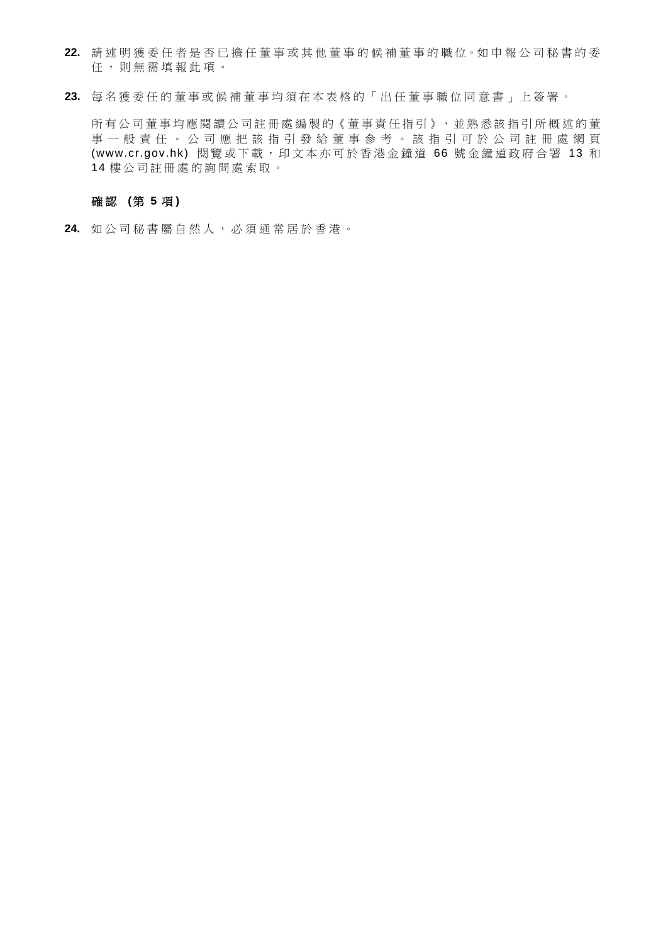- **22.** 請述明獲委任 者 是否已擔任 董事或 其他董事的候補董事的職位。如 申 報 公 司 秘 書 的 委 任,則 無 需 填報此項 。
- **23.** 每 名 獲委任的 董 事 或候補董事 均須在本表格的 「 出任董事職位同意書 」 上 簽 署 。

所有公司董事均應閱讀公司註冊處編製的《董事責任指引》,並熟悉該指引所概述的董 事一般責任 。 公司應把該指引發給董事參考 。 該指引 可 於 公 司 註 冊 處 網 頁 (www.cr.gov.hk) 閱覽或下載,印文本亦可於香港金鐘道 66 號金鐘道政府合署 13 和 14 樓公司註冊處的詢問處索取。

#### 確 認 **(**第 **5** 項 **)**

**24.** 如公司 秘書屬自然人,必須通常居於香港。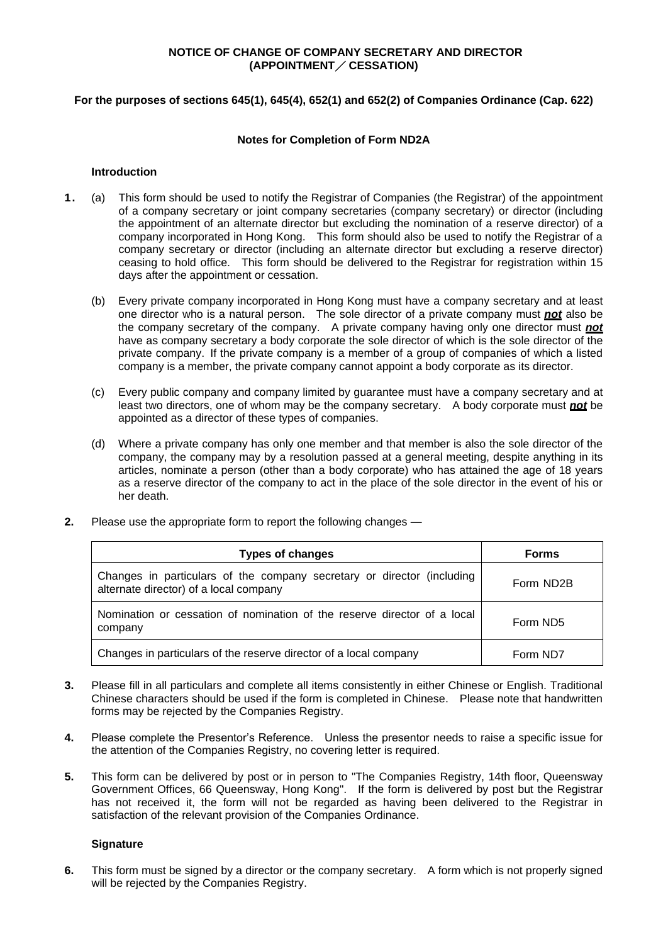# **NOTICE OF CHANGE OF COMPANY SECRETARY AND DIRECTOR (APPOINTMENT**/ **CESSATION)**

## **For the purposes of sections 645(1), 645(4), 652(1) and 652(2) of Companies Ordinance (Cap. 622)**

## **Notes for Completion of Form ND2A**

## **Introduction**

- **1.** (a) This form should be used to notify the Registrar of Companies (the Registrar) of the appointment of a company secretary or joint company secretaries (company secretary) or director (including the appointment of an alternate director but excluding the nomination of a reserve director) of a company incorporated in Hong Kong. This form should also be used to notify the Registrar of a company secretary or director (including an alternate director but excluding a reserve director) ceasing to hold office. This form should be delivered to the Registrar for registration within 15 days after the appointment or cessation.
	- (b) Every private company incorporated in Hong Kong must have a company secretary and at least one director who is a natural person. The sole director of a private company must *not* also be the company secretary of the company. A private company having only one director must *not* have as company secretary a body corporate the sole director of which is the sole director of the private company. If the private company is a member of a group of companies of which a listed company is a member, the private company cannot appoint a body corporate as its director.
	- (c) Every public company and company limited by guarantee must have a company secretary and at least two directors, one of whom may be the company secretary. A body corporate must *not* be appointed as a director of these types of companies.
	- (d) Where a private company has only one member and that member is also the sole director of the company, the company may by a resolution passed at a general meeting, despite anything in its articles, nominate a person (other than a body corporate) who has attained the age of 18 years as a reserve director of the company to act in the place of the sole director in the event of his or her death.
- **2.** Please use the appropriate form to report the following changes —

| <b>Types of changes</b>                                                                                          | <b>Forms</b> |  |
|------------------------------------------------------------------------------------------------------------------|--------------|--|
| Changes in particulars of the company secretary or director (including<br>alternate director) of a local company | Form ND2B    |  |
| Nomination or cessation of nomination of the reserve director of a local<br>company                              | Form ND5     |  |
| Changes in particulars of the reserve director of a local company                                                | Form ND7     |  |

- **3.** Please fill in all particulars and complete all items consistently in either Chinese or English. Traditional Chinese characters should be used if the form is completed in Chinese. Please note that handwritten forms may be rejected by the Companies Registry.
- **4.** Please complete the Presentor's Reference. Unless the presentor needs to raise a specific issue for the attention of the Companies Registry, no covering letter is required.
- **5.** This form can be delivered by post or in person to "The Companies Registry, 14th floor, Queensway Government Offices, 66 Queensway, Hong Kong". If the form is delivered by post but the Registrar has not received it, the form will not be regarded as having been delivered to the Registrar in satisfaction of the relevant provision of the Companies Ordinance.

# **Signature**

**6.** This form must be signed by a director or the company secretary. A form which is not properly signed will be rejected by the Companies Registry.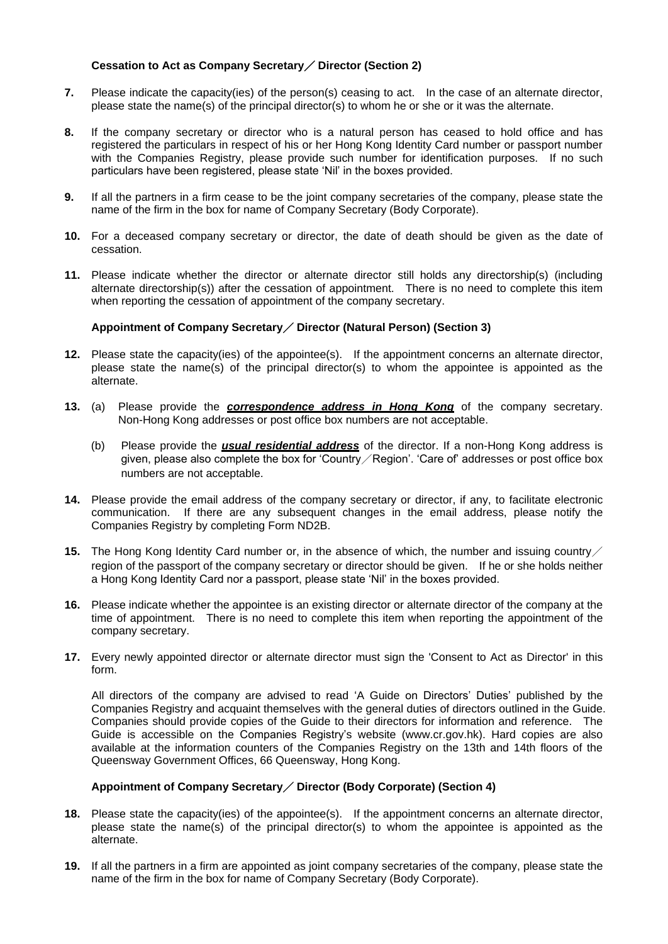# **Cessation to Act as Company Secretary**/ **Director (Section 2)**

- **7.** Please indicate the capacity(ies) of the person(s) ceasing to act. In the case of an alternate director, please state the name(s) of the principal director(s) to whom he or she or it was the alternate.
- **8.** If the company secretary or director who is a natural person has ceased to hold office and has registered the particulars in respect of his or her Hong Kong Identity Card number or passport number with the Companies Registry, please provide such number for identification purposes. If no such particulars have been registered, please state 'Nil' in the boxes provided.
- **9.** If all the partners in a firm cease to be the joint company secretaries of the company, please state the name of the firm in the box for name of Company Secretary (Body Corporate).
- **10.** For a deceased company secretary or director, the date of death should be given as the date of cessation.
- **11.** Please indicate whether the director or alternate director still holds any directorship(s) (including alternate directorship(s)) after the cessation of appointment. There is no need to complete this item when reporting the cessation of appointment of the company secretary.

## **Appointment of Company Secretary**/ **Director (Natural Person) (Section 3)**

- **12.** Please state the capacity(ies) of the appointee(s). If the appointment concerns an alternate director, please state the name(s) of the principal director(s) to whom the appointee is appointed as the alternate.
- **13.** (a) Please provide the *correspondence address in Hong Kong* of the company secretary. Non-Hong Kong addresses or post office box numbers are not acceptable.
	- (b) Please provide the *usual residential address* of the director. If a non-Hong Kong address is given, please also complete the box for 'Country/Region'. 'Care of' addresses or post office box numbers are not acceptable.
- **14.** Please provide the email address of the company secretary or director, if any, to facilitate electronic communication. If there are any subsequent changes in the email address, please notify the Companies Registry by completing Form ND2B.
- **15.** The Hong Kong Identity Card number or, in the absence of which, the number and issuing country region of the passport of the company secretary or director should be given. If he or she holds neither a Hong Kong Identity Card nor a passport, please state 'Nil' in the boxes provided.
- **16.** Please indicate whether the appointee is an existing director or alternate director of the company at the time of appointment. There is no need to complete this item when reporting the appointment of the company secretary.
- **17.** Every newly appointed director or alternate director must sign the 'Consent to Act as Director' in this form.

All directors of the company are advised to read 'A Guide on Directors' Duties' published by the Companies Registry and acquaint themselves with the general duties of directors outlined in the Guide. Companies should provide copies of the Guide to their directors for information and reference. The Guide is accessible on the Companies Registry's website (www.cr.gov.hk). Hard copies are also available at the information counters of the Companies Registry on the 13th and 14th floors of the Queensway Government Offices, 66 Queensway, Hong Kong.

#### **Appointment of Company Secretary**/ **Director (Body Corporate) (Section 4)**

- **18.** Please state the capacity(ies) of the appointee(s). If the appointment concerns an alternate director, please state the name(s) of the principal director(s) to whom the appointee is appointed as the alternate.
- **19.** If all the partners in a firm are appointed as joint company secretaries of the company, please state the name of the firm in the box for name of Company Secretary (Body Corporate).